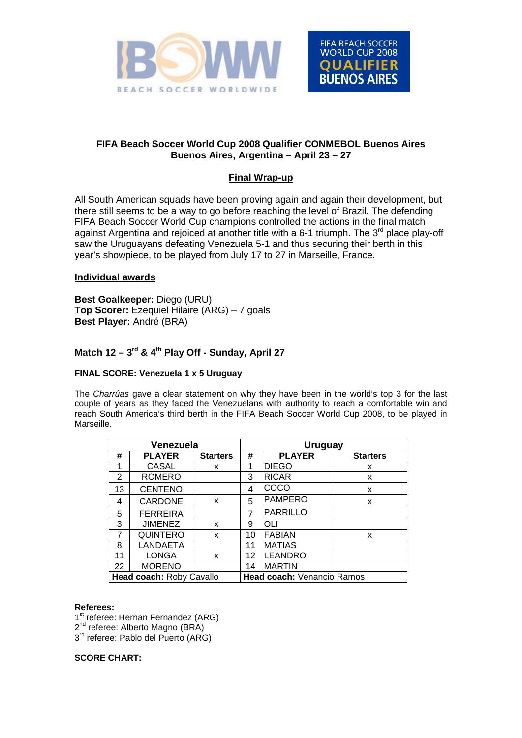



## **FIFA Beach Soccer World Cup 2008 Qualifier CONMEBOL Buenos Aires Buenos Aires, Argentina – April 23 – 27**

# **Final Wrap-up**

All South American squads have been proving again and again their development, but there still seems to be a way to go before reaching the level of Brazil. The defending FIFA Beach Soccer World Cup champions controlled the actions in the final match against Argentina and rejoiced at another title with a 6-1 triumph. The  $3<sup>rd</sup>$  place play-off saw the Uruguayans defeating Venezuela 5-1 and thus securing their berth in this year's showpiece, to be played from July 17 to 27 in Marseille, France.

### **Individual awards**

**Best Goalkeeper:** Diego (URU) **Top Scorer:** Ezequiel Hilaire (ARG) – 7 goals **Best Player:** André (BRA)

# Match 12 – 3<sup>rd</sup> & 4<sup>th</sup> Play Off - Sunday, April 27

### **FINAL SCORE: Venezuela 1 x 5 Uruguay**

The *Charrúas* gave a clear statement on why they have been in the world's top 3 for the last couple of years as they faced the Venezuelans with authority to reach a comfortable win and reach South America's third berth in the FIFA Beach Soccer World Cup 2008, to be played in Marseille.

| Venezuela                                              |                 |                 |    | <b>Uruguay</b>  |                 |  |  |  |
|--------------------------------------------------------|-----------------|-----------------|----|-----------------|-----------------|--|--|--|
| #                                                      | <b>PLAYER</b>   | <b>Starters</b> | #  | <b>PLAYER</b>   | <b>Starters</b> |  |  |  |
| 1                                                      | <b>CASAL</b>    | x               | 1  | <b>DIEGO</b>    | x               |  |  |  |
| 2                                                      | <b>ROMERO</b>   |                 | 3  | <b>RICAR</b>    | X               |  |  |  |
| 13                                                     | <b>CENTENO</b>  |                 | 4  | COCO            | x               |  |  |  |
| 4                                                      | <b>CARDONE</b>  | X               | 5  | <b>PAMPERO</b>  | X               |  |  |  |
| 5                                                      | <b>FERREIRA</b> |                 | 7  | <b>PARRILLO</b> |                 |  |  |  |
| 3                                                      | <b>JIMENEZ</b>  | x               | 9  | OLI             |                 |  |  |  |
| 7                                                      | <b>QUINTERO</b> | x               | 10 | <b>FABIAN</b>   | X               |  |  |  |
| 8                                                      | LANDAETA        |                 | 11 | <b>MATIAS</b>   |                 |  |  |  |
| 11                                                     | <b>LONGA</b>    | X               | 12 | <b>LEANDRO</b>  |                 |  |  |  |
| 22                                                     | <b>MORENO</b>   |                 | 14 | <b>MARTIN</b>   |                 |  |  |  |
| Head coach: Roby Cavallo<br>Head coach: Venancio Ramos |                 |                 |    |                 |                 |  |  |  |

### **Referees:**

1<sup>st</sup> referee: Hernan Fernandez (ARG) 2<sup>nd</sup> referee: Alberto Magno (BRA)  $3<sup>rd</sup>$  referee: Pablo del Puerto (ARG)

### **SCORE CHART:**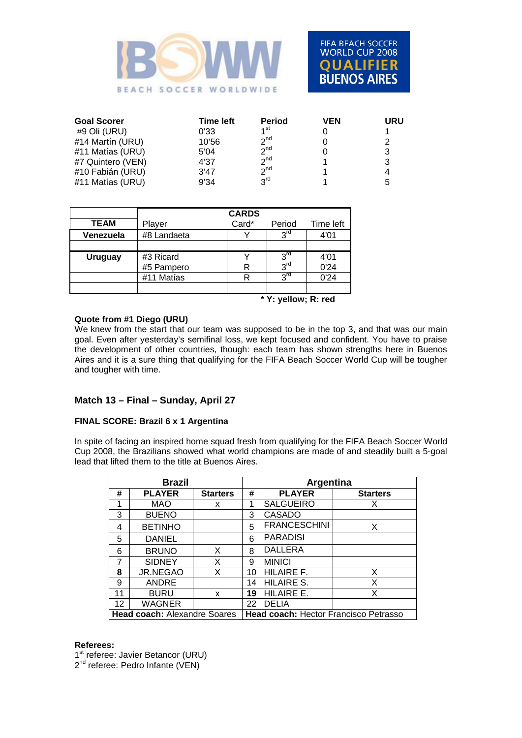



| <b>Goal Scorer</b> | Time left | <b>Period</b>   | VEN | URU |
|--------------------|-----------|-----------------|-----|-----|
| #9 Oli (URU)       | 0'33      | 1 <sup>st</sup> |     |     |
| #14 Martín (URU)   | 10'56     | $2^{nd}$        |     |     |
| #11 Matías (URU)   | 5'04      | $2^{nd}$        |     |     |
| #7 Quintero (VEN)  | 4'37      | $2^{nd}$        |     |     |
| #10 Fabián (URU)   | 3'47      | $2^{nd}$        |     |     |
| #11 Matías (URU)   | 9'34      | 2 <sup>rd</sup> |     | 5   |

|                |                     | <b>CARDS</b> |                 |           |  |  |  |
|----------------|---------------------|--------------|-----------------|-----------|--|--|--|
| <b>TEAM</b>    | Player              | Card*        | Period          | Time left |  |  |  |
| Venezuela      | #8 Landaeta         |              | 3rd             | 4'01      |  |  |  |
|                |                     |              |                 |           |  |  |  |
| <b>Uruguay</b> | #3 Ricard           |              | 3 <sup>rd</sup> | 4'01      |  |  |  |
|                | #5 Pampero          | R            | 3 <sup>rd</sup> | 0'24      |  |  |  |
|                | #11 Matías          | R            | $2^{\text{rd}}$ | 0'24      |  |  |  |
|                |                     |              |                 |           |  |  |  |
|                | * Y: yellow; R: red |              |                 |           |  |  |  |

### **Quote from #1 Diego (URU)**

We knew from the start that our team was supposed to be in the top 3, and that was our main goal. Even after yesterday's semifinal loss, we kept focused and confident. You have to praise the development of other countries, though: each team has shown strengths here in Buenos Aires and it is a sure thing that qualifying for the FIFA Beach Soccer World Cup will be tougher and tougher with time.

### **Match 13 – Final – Sunday, April 27**

### **FINAL SCORE: Brazil 6 x 1 Argentina**

In spite of facing an inspired home squad fresh from qualifying for the FIFA Beach Soccer World Cup 2008, the Brazilians showed what world champions are made of and steadily built a 5-goal lead that lifted them to the title at Buenos Aires.

| <b>Brazil</b>                       |                 |                 |                                       | <b>Argentina</b>    |                 |  |  |
|-------------------------------------|-----------------|-----------------|---------------------------------------|---------------------|-----------------|--|--|
| #                                   | <b>PLAYER</b>   | <b>Starters</b> | #                                     | <b>PLAYER</b>       | <b>Starters</b> |  |  |
| 1                                   | <b>MAO</b>      | x               | 1                                     | <b>SALGUEIRO</b>    | х               |  |  |
| 3                                   | <b>BUENO</b>    |                 | 3                                     | CASADO              |                 |  |  |
| 4                                   | <b>BETINHO</b>  |                 | 5                                     | <b>FRANCESCHINI</b> | х               |  |  |
| 5                                   | <b>DANIEL</b>   |                 | 6                                     | <b>PARADISI</b>     |                 |  |  |
| 6                                   | <b>BRUNO</b>    | X               | 8                                     | <b>DALLERA</b>      |                 |  |  |
| 7                                   | <b>SIDNEY</b>   | X               | 9                                     | <b>MINICI</b>       |                 |  |  |
| 8                                   | <b>JR.NEGAO</b> | X               | 10                                    | HILAIRE F.          | X               |  |  |
| 9                                   | <b>ANDRE</b>    |                 | 14                                    | <b>HILAIRE S.</b>   | X               |  |  |
| 11                                  | <b>BURU</b>     | x               | 19                                    | HILAIRE E.          | х               |  |  |
| 12                                  | <b>WAGNER</b>   |                 | 22                                    | <b>DELIA</b>        |                 |  |  |
| <b>Head coach: Alexandre Soares</b> |                 |                 | Head coach: Hector Francisco Petrasso |                     |                 |  |  |

#### **Referees:**

1st referee: Javier Betancor (URU)

2<sup>nd</sup> referee: Pedro Infante (VEN)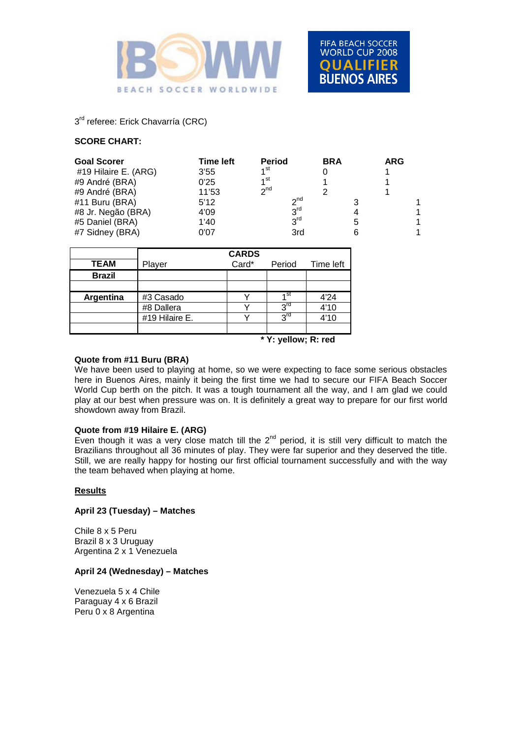



# $3<sup>rd</sup>$  referee: Erick Chavarría (CRC)

### **SCORE CHART:**

| <b>Goal Scorer</b><br>#19 Hilaire E. (ARG)<br>#9 André (BRA) | <b>Time left</b><br>3'55<br>0'25 | <b>Period</b><br>1 <sup>st</sup><br>1 <sup>st</sup> | <b>BRA</b> |   | <b>ARG</b> |   |
|--------------------------------------------------------------|----------------------------------|-----------------------------------------------------|------------|---|------------|---|
| #9 André (BRA)                                               | 11'53                            | $2^{nd}$                                            |            |   |            |   |
| #11 Buru (BRA)                                               | 5'12                             | $2^{nd}$                                            |            |   |            |   |
| #8 Jr. Negão (BRA)                                           | 4'09                             | 3 <sup>rd</sup>                                     |            |   |            | 1 |
| #5 Daniel (BRA)                                              | 1'40                             | $3^{\text{rd}}$                                     |            | 5 |            | 1 |
| #7 Sidney (BRA)                                              | 0'07                             | 3rd                                                 |            |   |            |   |

|               |                | <b>CARDS</b> |                 |           |
|---------------|----------------|--------------|-----------------|-----------|
| <b>TEAM</b>   | Player         | Card*        | Period          | Time left |
| <b>Brazil</b> |                |              |                 |           |
|               |                |              |                 |           |
| Argentina     | #3 Casado      |              | ⊿st             | 4'24      |
|               | #8 Dallera     |              | $3^{\text{rd}}$ | 4'10      |
|               | #19 Hilaire E. |              | 3rd             | 4'10      |
|               |                |              |                 |           |
|               |                |              | $*M$ H $R$ 1    |           |

**\* Y: yellow; R: red**

#### **Quote from #11 Buru (BRA)**

We have been used to playing at home, so we were expecting to face some serious obstacles here in Buenos Aires, mainly it being the first time we had to secure our FIFA Beach Soccer World Cup berth on the pitch. It was a tough tournament all the way, and I am glad we could play at our best when pressure was on. It is definitely a great way to prepare for our first world showdown away from Brazil.

### **Quote from #19 Hilaire E. (ARG)**

Even though it was a very close match till the  $2^{nd}$  period, it is still very difficult to match the Brazilians throughout all 36 minutes of play. They were far superior and they deserved the title. Still, we are really happy for hosting our first official tournament successfully and with the way the team behaved when playing at home.

#### **Results**

#### **April 23 (Tuesday) – Matches**

Chile 8 x 5 Peru Brazil 8 x 3 Uruguay Argentina 2 x 1 Venezuela

### **April 24 (Wednesday) – Matches**

Venezuela 5 x 4 Chile Paraguay 4 x 6 Brazil Peru 0 x 8 Argentina